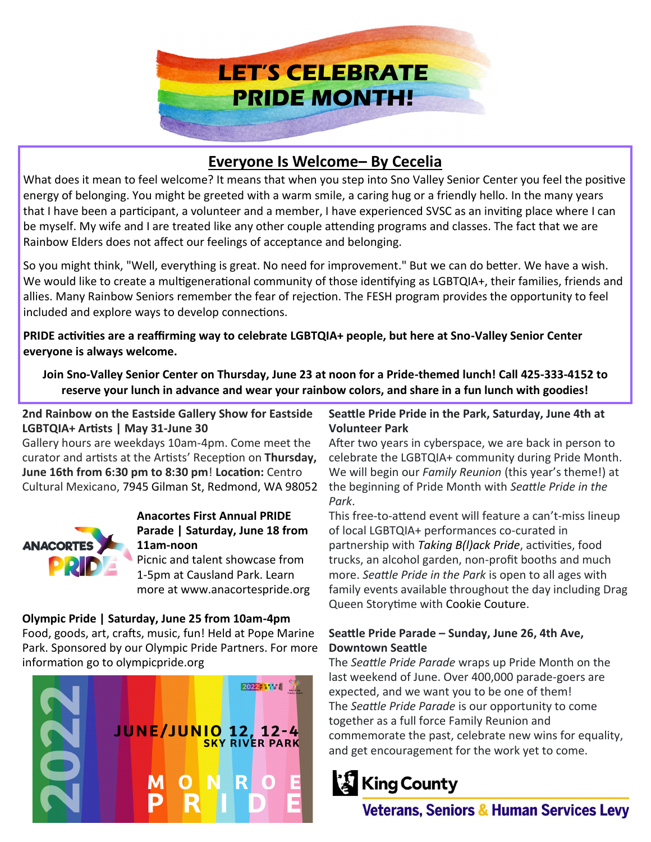

# **Everyone Is Welcome– By Cecelia**

What does it mean to feel welcome? It means that when you step into Sno Valley Senior Center you feel the positive energy of belonging. You might be greeted with a warm smile, a caring hug or a friendly hello. In the many years that I have been a participant, a volunteer and a member, I have experienced SVSC as an inviting place where I can be myself. My wife and I are treated like any other couple attending programs and classes. The fact that we are Rainbow Elders does not affect our feelings of acceptance and belonging.

So you might think, "Well, everything is great. No need for improvement." But we can do better. We have a wish. We would like to create a multigenerational community of those identifying as LGBTQIA+, their families, friends and allies. Many Rainbow Seniors remember the fear of rejection. The FESH program provides the opportunity to feel included and explore ways to develop connections.

**PRIDE activities are a reaffirming way to celebrate LGBTQIA+ people, but here at Sno-Valley Senior Center everyone is always welcome.**

**Join Sno-Valley Senior Center on Thursday, June 23 at noon for a Pride-themed lunch! Call 425-333-4152 to reserve your lunch in advance and wear your rainbow colors, and share in a fun lunch with goodies!**

**2nd Rainbow on the Eastside Gallery Show for Eastside LGBTQIA+ Artists | May 31-June 30**

Gallery hours are weekdays 10am-4pm. Come meet the curator and artists at the Artists' Reception on **Thursday, June 16th from 6:30 pm to 8:30 pm**! **Location:** Centro Cultural Mexicano, 7945 Gilman St, Redmond, WA 98052



### **Anacortes First Annual PRIDE Parade | Saturday, June 18 from 11am-noon**

Picnic and talent showcase from 1-5pm at Causland Park. Learn more at www.anacortespride.org

**Olympic Pride | Saturday, June 25 from 10am-4pm** Food, goods, art, crafts, music, fun! Held at Pope Marine Park. Sponsored by our Olympic Pride Partners. For more information go to olympicpride.org



#### **Seattle Pride Pride in the Park, Saturday, June 4th at Volunteer Park**

After two years in cyberspace, we are back in person to celebrate the LGBTQIA+ community during Pride Month. We will begin our *Family Reunion* (this year's theme!) at the beginning of Pride Month with *Seattle Pride in the Park*.

This free-to-attend event will feature a can't-miss lineup of local LGBTQIA+ performances co-curated in partnership with *Taking B(l)ack Pride*, activities, food trucks, an alcohol garden, non-profit booths and much more. *Seattle Pride in the Park* is open to all ages with family events available throughout the day including Drag Queen Storytime with Cookie Couture.

#### **Seattle Pride Parade – Sunday, June 26, 4th Ave, Downtown Seattle**

The *Seattle Pride Parade* wraps up Pride Month on the last weekend of June. Over 400,000 parade-goers are expected, and we want you to be one of them! The *Seattle Pride Parade* is our opportunity to come together as a full force Family Reunion and commemorate the past, celebrate new wins for equality, and get encouragement for the work yet to come.



**Veterans, Seniors & Human Services Levy**